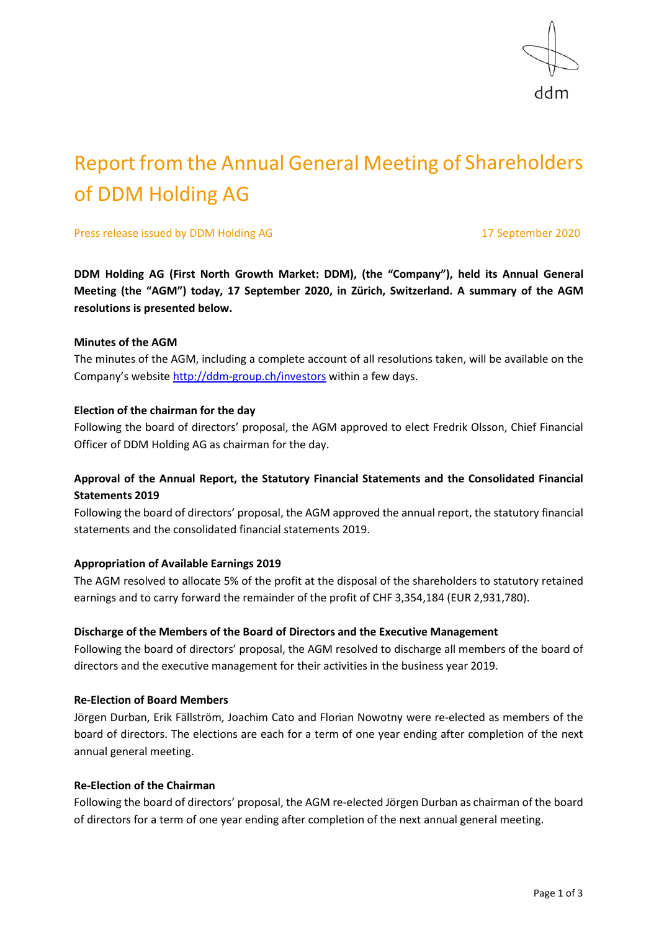

# Report from the Annual General Meeting of Shareholders of DDM Holding AG

Press release issued by DDM Holding AG 17 September 2020

**DDM Holding AG (First North Growth Market: DDM), (the "Company"), held its Annual General Meeting (the "AGM") today, 17 September 2020, in Zürich, Switzerland. A summary of the AGM resolutions is presented below.**

# **Minutes of the AGM**

The minutes of the AGM, including a complete account of all resolutions taken, will be available on the Company's website<http://ddm-group.ch/investors> within a few days.

#### **Election of the chairman for the day**

Following the board of directors' proposal, the AGM approved to elect Fredrik Olsson, Chief Financial Officer of DDM Holding AG as chairman for the day.

# **Approval of the Annual Report, the Statutory Financial Statements and the Consolidated Financial Statements 2019**

Following the board of directors' proposal, the AGM approved the annual report, the statutory financial statements and the consolidated financial statements 2019.

# **Appropriation of Available Earnings 2019**

The AGM resolved to allocate 5% of the profit at the disposal of the shareholders to statutory retained earnings and to carry forward the remainder of the profit of CHF 3,354,184 (EUR 2,931,780).

# **Discharge of the Members of the Board of Directors and the Executive Management**

Following the board of directors' proposal, the AGM resolved to discharge all members of the board of directors and the executive management for their activities in the business year 2019.

#### **Re-Election of Board Members**

Jörgen Durban, Erik Fällström, Joachim Cato and Florian Nowotny were re-elected as members of the board of directors. The elections are each for a term of one year ending after completion of the next annual general meeting.

# **Re-Election of the Chairman**

Following the board of directors' proposal, the AGM re-elected Jörgen Durban as chairman of the board of directors for a term of one year ending after completion of the next annual general meeting.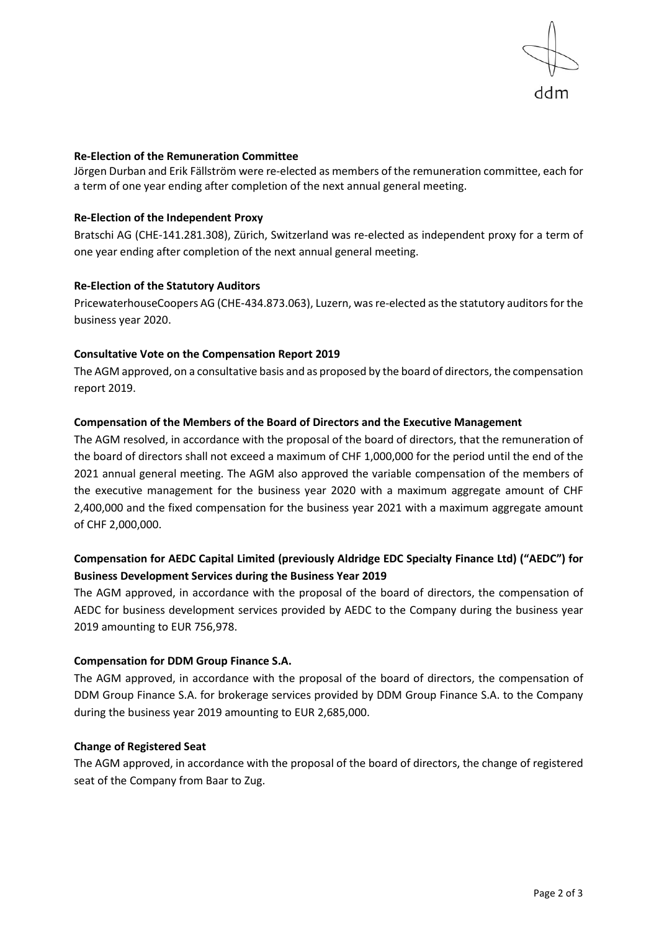

#### **Re-Election of the Remuneration Committee**

Jörgen Durban and Erik Fällström were re-elected as members of the remuneration committee, each for a term of one year ending after completion of the next annual general meeting.

#### **Re-Election of the Independent Proxy**

Bratschi AG (CHE-141.281.308), Zürich, Switzerland was re-elected as independent proxy for a term of one year ending after completion of the next annual general meeting.

#### **Re-Election of the Statutory Auditors**

PricewaterhouseCoopers AG (CHE‑434.873.063), Luzern, was re-elected as the statutory auditors for the business year 2020.

#### **Consultative Vote on the Compensation Report 2019**

The AGM approved, on a consultative basis and as proposed by the board of directors, the compensation report 2019.

#### **Compensation of the Members of the Board of Directors and the Executive Management**

The AGM resolved, in accordance with the proposal of the board of directors, that the remuneration of the board of directors shall not exceed a maximum of CHF 1,000,000 for the period until the end of the 2021 annual general meeting. The AGM also approved the variable compensation of the members of the executive management for the business year 2020 with a maximum aggregate amount of CHF 2,400,000 and the fixed compensation for the business year 2021 with a maximum aggregate amount of CHF 2,000,000.

# **Compensation for AEDC Capital Limited (previously Aldridge EDC Specialty Finance Ltd) ("AEDC") for Business Development Services during the Business Year 2019**

The AGM approved, in accordance with the proposal of the board of directors, the compensation of AEDC for business development services provided by AEDC to the Company during the business year 2019 amounting to EUR 756,978.

#### **Compensation for DDM Group Finance S.A.**

The AGM approved, in accordance with the proposal of the board of directors, the compensation of DDM Group Finance S.A. for brokerage services provided by DDM Group Finance S.A. to the Company during the business year 2019 amounting to EUR 2,685,000.

# **Change of Registered Seat**

The AGM approved, in accordance with the proposal of the board of directors, the change of registered seat of the Company from Baar to Zug.